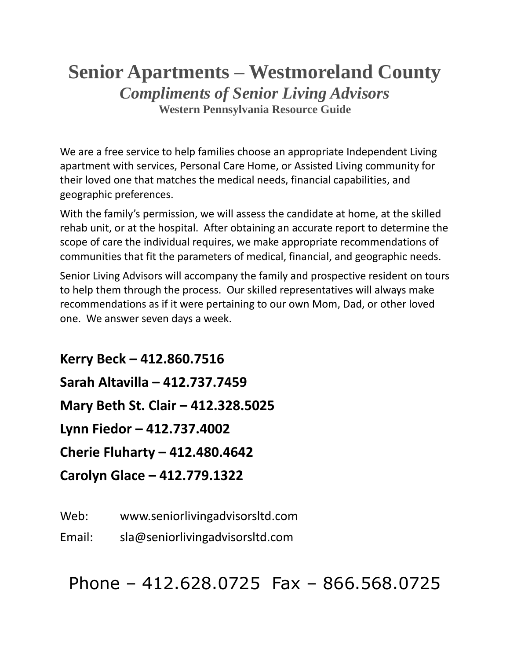# **Senior Apartments – Westmoreland County** *Compliments of Senior Living Advisors* **Western Pennsylvania Resource Guide**

We are a free service to help families choose an appropriate Independent Living apartment with services, Personal Care Home, or Assisted Living community for their loved one that matches the medical needs, financial capabilities, and geographic preferences.

With the family's permission, we will assess the candidate at home, at the skilled rehab unit, or at the hospital. After obtaining an accurate report to determine the scope of care the individual requires, we make appropriate recommendations of communities that fit the parameters of medical, financial, and geographic needs.

Senior Living Advisors will accompany the family and prospective resident on tours to help them through the process. Our skilled representatives will always make recommendations as if it were pertaining to our own Mom, Dad, or other loved one. We answer seven days a week.

**Kerry Beck – 412.860.7516 Sarah Altavilla – 412.737.7459 Mary Beth St. Clair – 412.328.5025 Lynn Fiedor – 412.737.4002 Cherie Fluharty – 412.480.4642 Carolyn Glace – 412.779.1322**

Web: www.seniorlivingadvisorsltd.com

Email: sla@seniorlivingadvisorsltd.com

Phone – 412.628.0725 Fax – 866.568.0725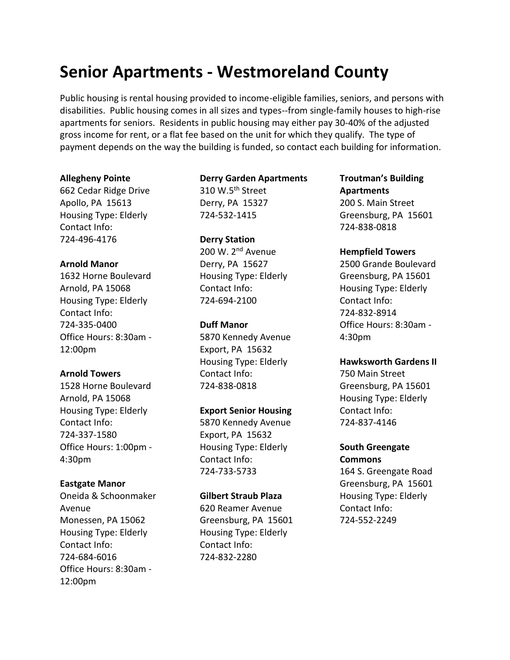# **Senior Apartments - Westmoreland County**

Public housing is rental housing provided to income-eligible families, seniors, and persons with disabilities. Public housing comes in all sizes and types--from single-family houses to high-rise apartments for seniors. Residents in public housing may either pay 30-40% of the adjusted gross income for rent, or a flat fee based on the unit for which they qualify. The type of payment depends on the way the building is funded, so contact each building for information.

#### **Allegheny Pointe**

662 Cedar Ridge Drive Apollo, PA 15613 Housing Type: Elderly Contact Info: 724-496-4176

## **Arnold Manor**

1632 Horne Boulevard Arnold, PA 15068 Housing Type: Elderly Contact Info: 724-335-0400 Office Hours: 8:30am - 12:00pm

## **Arnold Towers**

1528 Horne Boulevard Arnold, PA 15068 Housing Type: Elderly Contact Info: 724-337-1580 Office Hours: 1:00pm - 4:30pm

## **Eastgate Manor**

Oneida & Schoonmaker Avenue Monessen, PA 15062 Housing Type: Elderly Contact Info: 724-684-6016 Office Hours: 8:30am - 12:00pm

# **Derry Garden Apartments**

310 W.5<sup>th</sup> Street Derry, PA 15327 724-532-1415

# **Derry Station** 200 W. 2<sup>nd</sup> Avenue Derry, PA 15627 Housing Type: Elderly Contact Info: 724-694-2100

## **Duff Manor**

5870 Kennedy Avenue Export, PA 15632 Housing Type: Elderly Contact Info: 724-838-0818

## **Export Senior Housing**

5870 Kennedy Avenue Export, PA 15632 Housing Type: Elderly Contact Info: 724-733-5733

#### **Gilbert Straub Plaza**

620 Reamer Avenue Greensburg, PA 15601 Housing Type: Elderly Contact Info: 724-832-2280

# **Troutman's Building Apartments** 200 S. Main Street Greensburg, PA 15601 724-838-0818

## **Hempfield Towers**

2500 Grande Boulevard Greensburg, PA 15601 Housing Type: Elderly Contact Info: 724-832-8914 Office Hours: 8:30am - 4:30pm

### **Hawksworth Gardens II**

750 Main Street Greensburg, PA 15601 Housing Type: Elderly Contact Info: 724-837-4146

## **South Greengate Commons**

164 S. Greengate Road Greensburg, PA 15601 Housing Type: Elderly Contact Info: 724-552-2249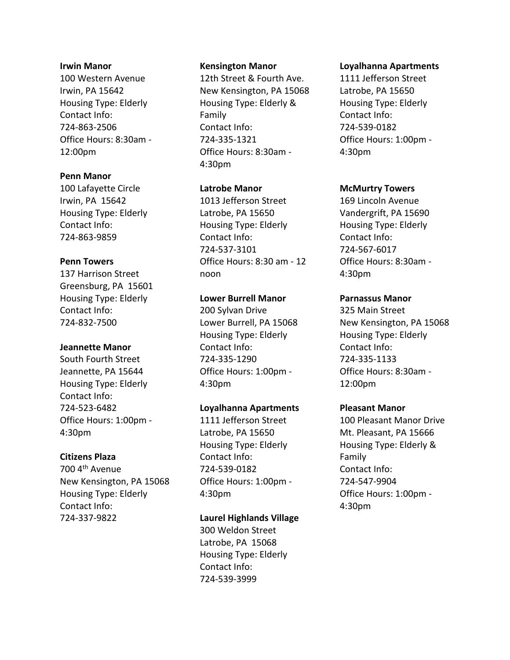#### **Irwin Manor**

100 Western Avenue Irwin, PA 15642 Housing Type: Elderly Contact Info: 724-863-2506 Office Hours: 8:30am - 12:00pm

## **Penn Manor**

100 Lafayette Circle Irwin, PA 15642 Housing Type: Elderly Contact Info: 724-863-9859

## **Penn Towers**

137 Harrison Street Greensburg, PA 15601 Housing Type: Elderly Contact Info: 724-832-7500

#### **Jeannette Manor**

South Fourth Street Jeannette, PA 15644 Housing Type: Elderly Contact Info: 724-523-6482 Office Hours: 1:00pm - 4:30pm

## **Citizens Plaza**

700 4<sup>th</sup> Avenue New Kensington, PA 15068 Housing Type: Elderly Contact Info: 724-337-9822

## **Kensington Manor**

12th Street & Fourth Ave. New Kensington, PA 15068 Housing Type: Elderly & Family Contact Info: 724-335-1321 Office Hours: 8:30am - 4:30pm

## **Latrobe Manor**

1013 Jefferson Street Latrobe, PA 15650 Housing Type: Elderly Contact Info: 724-537-3101 Office Hours: 8:30 am - 12 noon

# **Lower Burrell Manor**

200 Sylvan Drive Lower Burrell, PA 15068 Housing Type: Elderly Contact Info: 724-335-1290 Office Hours: 1:00pm - 4:30pm

## **Loyalhanna Apartments**

1111 Jefferson Street Latrobe, PA 15650 Housing Type: Elderly Contact Info: 724-539-0182 Office Hours: 1:00pm - 4:30pm

## **Laurel Highlands Village**

300 Weldon Street Latrobe, PA 15068 Housing Type: Elderly Contact Info: 724-539-3999

#### **Loyalhanna Apartments**

1111 Jefferson Street Latrobe, PA 15650 Housing Type: Elderly Contact Info: 724-539-0182 Office Hours: 1:00pm - 4:30pm

## **McMurtry Towers**

169 Lincoln Avenue Vandergrift, PA 15690 Housing Type: Elderly Contact Info: 724-567-6017 Office Hours: 8:30am - 4:30pm

## **Parnassus Manor**

325 Main Street New Kensington, PA 15068 Housing Type: Elderly Contact Info: 724-335-1133 Office Hours: 8:30am - 12:00pm

#### **Pleasant Manor**

100 Pleasant Manor Drive Mt. Pleasant, PA 15666 Housing Type: Elderly & Family Contact Info: 724-547-9904 Office Hours: 1:00pm - 4:30pm